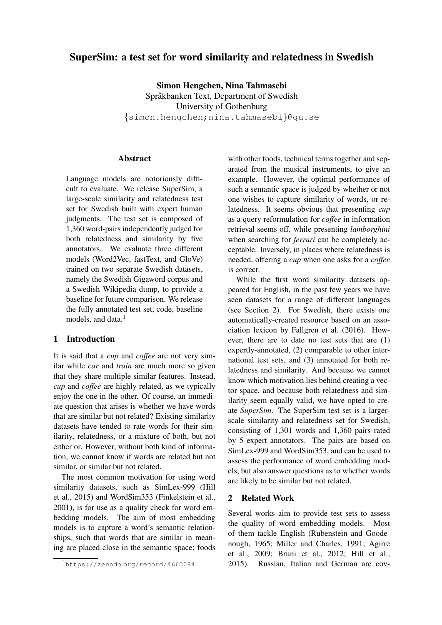# SuperSim: a test set for word similarity and relatedness in Swedish

Simon Hengchen, Nina Tahmasebi Språkbanken Text, Department of Swedish University of Gothenburg {simon.hengchen;nina.tahmasebi}@gu.se

# Abstract

Language models are notoriously difficult to evaluate. We release SuperSim, a large-scale similarity and relatedness test set for Swedish built with expert human judgments. The test set is composed of 1,360 word-pairs independently judged for both relatedness and similarity by five annotators. We evaluate three different models (Word2Vec, fastText, and GloVe) trained on two separate Swedish datasets, namely the Swedish Gigaword corpus and a Swedish Wikipedia dump, to provide a baseline for future comparison. We release the fully annotated test set, code, baseline models, and data.<sup>[1](#page-0-0)</sup>

### 1 Introduction

It is said that a *cup* and *coffee* are not very similar while *car* and *train* are much more so given that they share multiple similar features. Instead, *cup* and *coffee* are highly related, as we typically enjoy the one in the other. Of course, an immediate question that arises is whether we have words that are similar but not related? Existing similarity datasets have tended to rate words for their similarity, relatedness, or a mixture of both, but not either or. However, without both kind of information, we cannot know if words are related but not similar, or similar but not related.

The most common motivation for using word similarity datasets, such as SimLex-999 [\(Hill](#page-7-0) [et al., 2015\)](#page-7-0) and WordSim353 [\(Finkelstein et al.,](#page-7-1) [2001\)](#page-7-1), is for use as a quality check for word embedding models. The aim of most embedding models is to capture a word's semantic relationships, such that words that are similar in meaning are placed close in the semantic space; foods

with other foods, technical terms together and separated from the musical instruments, to give an example. However, the optimal performance of such a semantic space is judged by whether or not one wishes to capture similarity of words, or relatedness. It seems obvious that presenting *cup* as a query reformulation for *coffee* in information retrieval seems off, while presenting *lamborghini* when searching for *ferrari* can be completely acceptable. Inversely, in places where relatedness is needed, offering a *cup* when one asks for a *coffee* is correct.

While the first word similarity datasets appeared for English, in the past few years we have seen datasets for a range of different languages (see Section [2\)](#page-0-1). For Swedish, there exists one automatically-created resource based on an association lexicon by [Fallgren et al.](#page-6-0) [\(2016\)](#page-6-0). However, there are to date no test sets that are (1) expertly-annotated, (2) comparable to other international test sets, and (3) annotated for both relatedness and similarity. And because we cannot know which motivation lies behind creating a vector space, and because both relatedness and similarity seem equally valid, we have opted to create *SuperSim*. The SuperSim test set is a largerscale similarity and relatedness set for Swedish, consisting of 1,301 words and 1,360 pairs rated by 5 expert annotators. The pairs are based on SimLex-999 and WordSim353, and can be used to assess the performance of word embedding models, but also answer questions as to whether words are likely to be similar but not related.

### <span id="page-0-1"></span>2 Related Work

Several works aim to provide test sets to assess the quality of word embedding models. Most of them tackle English [\(Rubenstein and Goode](#page-7-2)[nough, 1965;](#page-7-2) [Miller and Charles, 1991;](#page-7-3) [Agirre](#page-6-1) [et al., 2009;](#page-6-1) [Bruni et al., 2012;](#page-6-2) [Hill et al.,](#page-7-0) [2015\)](#page-7-0). Russian, Italian and German are cov-

<span id="page-0-0"></span><sup>1</sup>https://zenodo.[org/record/4660084](https://zenodo.org/record/4660084).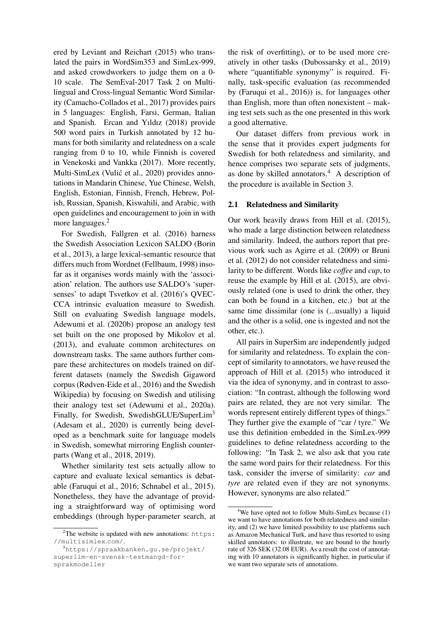ered by [Leviant and Reichart](#page-7-4) [\(2015\)](#page-7-4) who translated the pairs in WordSim353 and SimLex-999, and asked crowdworkers to judge them on a 0- 10 scale. The SemEval-2017 Task 2 on Multilingual and Cross-lingual Semantic Word Similarity [\(Camacho-Collados et al., 2017\)](#page-6-3) provides pairs in 5 languages: English, Farsi, German, Italian and Spanish. [Ercan and Yıldız](#page-6-4) [\(2018\)](#page-6-4) provide 500 word pairs in Turkish annotated by 12 humans for both similarity and relatedness on a scale ranging from 0 to 10, while Finnish is covered in [Venekoski and Vankka](#page-7-5) [\(2017\)](#page-7-5). More recently, Multi-SimLex (Vulić et al., 2020) provides annotations in Mandarin Chinese, Yue Chinese, Welsh, English, Estonian, Finnish, French, Hebrew, Polish, Russian, Spanish, Kiswahili, and Arabic, with open guidelines and encouragement to join in with more languages.<sup>[2](#page-1-0)</sup>

For Swedish, [Fallgren et al.](#page-6-0) [\(2016\)](#page-6-0) harness the Swedish Association Lexicon SALDO [\(Borin](#page-6-5) [et al., 2013\)](#page-6-5), a large lexical-semantic resource that differs much from Wordnet [\(Fellbaum, 1998\)](#page-6-6) insofar as it organises words mainly with the 'association' relation. The authors use SALDO's 'supersenses' to adapt [Tsvetkov et al.](#page-7-7) [\(2016\)](#page-7-7)'s QVEC-CCA intrinsic evaluation measure to Swedish. Still on evaluating Swedish language models, [Adewumi et al.](#page-6-7) [\(2020b\)](#page-6-7) propose an analogy test set built on the one proposed by [Mikolov et al.](#page-7-8) [\(2013\)](#page-7-8), and evaluate common architectures on downstream tasks. The same authors further compare these architectures on models trained on different datasets (namely the Swedish Gigaword corpus [\(Rødven-Eide et al., 2016\)](#page-7-9) and the Swedish Wikipedia) by focusing on Swedish and utilising their analogy test set [\(Adewumi et al., 2020a\)](#page-6-8). Finally, for Swedish, SwedishGLUE/SuperLim<sup>[3](#page-1-1)</sup> [\(Adesam et al., 2020\)](#page-6-9) is currently being developed as a benchmark suite for language models in Swedish, somewhat mirroring English counterparts [\(Wang et al., 2018,](#page-7-10) [2019\)](#page-7-11).

Whether similarity test sets actually allow to capture and evaluate lexical semantics is debatable [\(Faruqui et al., 2016;](#page-6-10) [Schnabel et al., 2015\)](#page-7-12). Nonetheless, they have the advantage of providing a straightforward way of optimising word embeddings (through hyper-parameter search, at

the risk of overfitting), or to be used more creatively in other tasks [\(Dubossarsky et al., 2019\)](#page-6-11) where "quantifiable synonymy" is required. Finally, task-specific evaluation (as recommended by [\(Faruqui et al., 2016\)](#page-6-10)) is, for languages other than English, more than often nonexistent – making test sets such as the one presented in this work a good alternative.

Our dataset differs from previous work in the sense that it provides expert judgments for Swedish for both relatedness and similarity, and hence comprises two separate sets of judgments, as done by skilled annotators. $4$  A description of the procedure is available in Section [3.](#page-2-0)

### 2.1 Relatedness and Similarity

Our work heavily draws from [Hill et al.](#page-7-0) [\(2015\)](#page-7-0), who made a large distinction between relatedness and similarity. Indeed, the authors report that previous work such as [Agirre et al.](#page-6-1) [\(2009\)](#page-6-1) or [Bruni](#page-6-2) [et al.](#page-6-2) [\(2012\)](#page-6-2) do not consider relatedness and similarity to be different. Words like *coffee* and *cup*, to reuse the example by [Hill et al.](#page-7-0) [\(2015\)](#page-7-0), are obviously related (one is used to drink the other, they can both be found in a kitchen, etc.) but at the same time dissimilar (one is (...usually) a liquid and the other is a solid, one is ingested and not the other, etc.).

All pairs in SuperSim are independently judged for similarity and relatedness. To explain the concept of similarity to annotators, we have reused the approach of [Hill et al.](#page-7-0) [\(2015\)](#page-7-0) who introduced it via the idea of synonymy, and in contrast to association: "In contrast, although the following word pairs are related, they are not very similar. The words represent entirely different types of things." They further give the example of "car / tyre." We use this definition embedded in the SimLex-999 guidelines to define relatedness according to the following: "In Task 2, we also ask that you rate the same word pairs for their relatedness. For this task, consider the inverse of similarity: *car* and *tyre* are related even if they are not synonyms. However, synonyms are also related."

<span id="page-1-0"></span> $2$ The website is updated with new annotations: [https:](https://multisimlex.com/) [//multisimlex](https://multisimlex.com/).com/.

<span id="page-1-1"></span><sup>3</sup>[https://spraakbanken.gu.se/projekt/](https://spraakbanken.gu.se/projekt/superlim-en-svensk-testmangd-for-sprakmodeller) [superlim-en-svensk-testmangd-for](https://spraakbanken.gu.se/projekt/superlim-en-svensk-testmangd-for-sprakmodeller)[sprakmodeller](https://spraakbanken.gu.se/projekt/superlim-en-svensk-testmangd-for-sprakmodeller)

<span id="page-1-2"></span> $4$ We have opted not to follow Multi-SimLex because  $(1)$ we want to have annotations for both relatedness and similarity, and (2) we have limited possibility to use platforms such as Amazon Mechanical Turk, and have thus resorted to using skilled annotators: to illustrate, we are bound to the hourly rate of 326 SEK (32.08 EUR). As a result the cost of annotating with 10 annotators is significantly higher, in particular if we want two separate sets of annotations.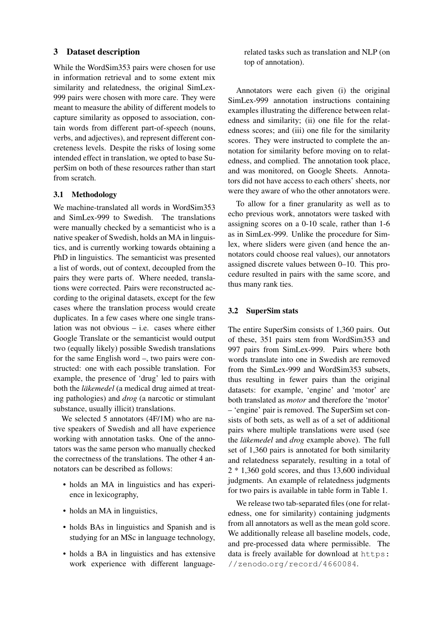# <span id="page-2-0"></span>3 Dataset description

While the WordSim353 pairs were chosen for use in information retrieval and to some extent mix similarity and relatedness, the original SimLex-999 pairs were chosen with more care. They were meant to measure the ability of different models to capture similarity as opposed to association, contain words from different part-of-speech (nouns, verbs, and adjectives), and represent different concreteness levels. Despite the risks of losing some intended effect in translation, we opted to base SuperSim on both of these resources rather than start from scratch.

### 3.1 Methodology

We machine-translated all words in WordSim353 and SimLex-999 to Swedish. The translations were manually checked by a semanticist who is a native speaker of Swedish, holds an MA in linguistics, and is currently working towards obtaining a PhD in linguistics. The semanticist was presented a list of words, out of context, decoupled from the pairs they were parts of. Where needed, translations were corrected. Pairs were reconstructed according to the original datasets, except for the few cases where the translation process would create duplicates. In a few cases where one single translation was not obvious – i.e. cases where either Google Translate or the semanticist would output two (equally likely) possible Swedish translations for the same English word –, two pairs were constructed: one with each possible translation. For example, the presence of 'drug' led to pairs with both the *läkemedel* (a medical drug aimed at treating pathologies) and *drog* (a narcotic or stimulant substance, usually illicit) translations.

We selected 5 annotators (4F/1M) who are native speakers of Swedish and all have experience working with annotation tasks. One of the annotators was the same person who manually checked the correctness of the translations. The other 4 annotators can be described as follows:

- holds an MA in linguistics and has experience in lexicography,
- holds an MA in linguistics,
- holds BAs in linguistics and Spanish and is studying for an MSc in language technology,
- holds a BA in linguistics and has extensive work experience with different language-

related tasks such as translation and NLP (on top of annotation).

Annotators were each given (i) the original SimLex-999 annotation instructions containing examples illustrating the difference between relatedness and similarity; (ii) one file for the relatedness scores; and (iii) one file for the similarity scores. They were instructed to complete the annotation for similarity before moving on to relatedness, and complied. The annotation took place, and was monitored, on Google Sheets. Annotators did not have access to each others' sheets, nor were they aware of who the other annotators were.

To allow for a finer granularity as well as to echo previous work, annotators were tasked with assigning scores on a 0-10 scale, rather than 1-6 as in SimLex-999. Unlike the procedure for Simlex, where sliders were given (and hence the annotators could choose real values), our annotators assigned discrete values between 0–10. This procedure resulted in pairs with the same score, and thus many rank ties.

### 3.2 SuperSim stats

The entire SuperSim consists of 1,360 pairs. Out of these, 351 pairs stem from WordSim353 and 997 pairs from SimLex-999. Pairs where both words translate into one in Swedish are removed from the SimLex-999 and WordSim353 subsets, thus resulting in fewer pairs than the original datasets: for example, 'engine' and 'motor' are both translated as *motor* and therefore the 'motor' – 'engine' pair is removed. The SuperSim set consists of both sets, as well as of a set of additional pairs where multiple translations were used (see the *läkemedel* and *drog* example above). The full set of 1,360 pairs is annotated for both similarity and relatedness separately, resulting in a total of 2 \* 1,360 gold scores, and thus 13,600 individual judgments. An example of relatedness judgments for two pairs is available in table form in Table [1.](#page-3-0)

We release two tab-separated files (one for relatedness, one for similarity) containing judgments from all annotators as well as the mean gold score. We additionally release all baseline models, code, and pre-processed data where permissible. The data is freely available for download at [https:](https://zenodo.org/record/4660084) //zenodo.[org/record/4660084](https://zenodo.org/record/4660084).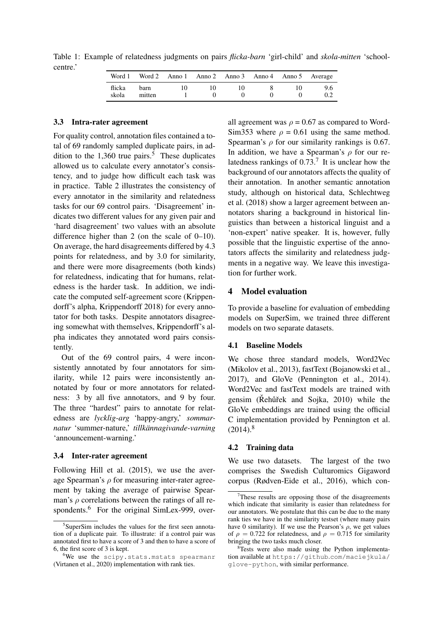Table 1: Example of relatedness judgments on pairs *flicka-barn* 'girl-child' and *skola-mitten* 'schoolcentre.'

<span id="page-3-0"></span>

| Word 1          | Word 2         |       |    | Anno 1 Anno 2 Anno 3 Anno 4 Anno 5 Average |     |
|-----------------|----------------|-------|----|--------------------------------------------|-----|
| flicka<br>skola | barn<br>mitten | I ( ) | 10 |                                            | 9.6 |

#### 3.3 Intra-rater agreement

For quality control, annotation files contained a total of 69 randomly sampled duplicate pairs, in addition to the  $1,360$  true pairs.<sup>[5](#page-3-1)</sup> These duplicates allowed us to calculate every annotator's consistency, and to judge how difficult each task was in practice. Table [2](#page-4-0) illustrates the consistency of every annotator in the similarity and relatedness tasks for our 69 control pairs. 'Disagreement' indicates two different values for any given pair and 'hard disagreement' two values with an absolute difference higher than 2 (on the scale of 0–10). On average, the hard disagreements differed by 4.3 points for relatedness, and by 3.0 for similarity, and there were more disagreements (both kinds) for relatedness, indicating that for humans, relatedness is the harder task. In addition, we indicate the computed self-agreement score (Krippendorff's alpha, [Krippendorff 2018\)](#page-7-13) for every annotator for both tasks. Despite annotators disagreeing somewhat with themselves, Krippendorff's alpha indicates they annotated word pairs consistently.

Out of the 69 control pairs, 4 were inconsistently annotated by four annotators for similarity, while 12 pairs were inconsistently annotated by four or more annotators for relatedness: 3 by all five annotators, and 9 by four. The three "hardest" pairs to annotate for relatedness are *lycklig-arg* 'happy-angry,' *sommarnatur* 'summer-nature,' *tillkannagivande-varning ¨* 'announcement-warning.'

#### 3.4 Inter-rater agreement

Following [Hill et al.](#page-7-0) [\(2015\)](#page-7-0), we use the average Spearman's  $\rho$  for measuring inter-rater agreement by taking the average of pairwise Spearman's  $\rho$  correlations between the ratings of all re-spondents.<sup>[6](#page-3-2)</sup> For the original SimLex-999, over-

all agreement was  $\rho = 0.67$  as compared to Word-Sim353 where  $\rho = 0.61$  using the same method. Spearman's  $\rho$  for our similarity rankings is 0.67. In addition, we have a Spearman's  $\rho$  for our relatedness rankings of  $0.73$  $0.73$  $0.73$ .<sup>7</sup> It is unclear how the background of our annotators affects the quality of their annotation. In another semantic annotation study, although on historical data, [Schlechtweg](#page-7-15) [et al.](#page-7-15) [\(2018\)](#page-7-15) show a larger agreement between annotators sharing a background in historical linguistics than between a historical linguist and a 'non-expert' native speaker. It is, however, fully possible that the linguistic expertise of the annotators affects the similarity and relatedness judgments in a negative way. We leave this investigation for further work.

### 4 Model evaluation

To provide a baseline for evaluation of embedding models on SuperSim, we trained three different models on two separate datasets.

### 4.1 Baseline Models

We chose three standard models, Word2Vec [\(Mikolov et al., 2013\)](#page-7-8), fastText [\(Bojanowski et al.,](#page-6-12) [2017\)](#page-6-12), and GloVe [\(Pennington et al., 2014\)](#page-7-16). Word2Vec and fastText models are trained with gensim ( $\check{R}$ ehu $\check{r}$ ek and Sojka, 2010) while the GloVe embeddings are trained using the official C implementation provided by [Pennington et al.](#page-7-16)  $(2014)^8$  $(2014)^8$  $(2014)^8$ 

#### 4.2 Training data

We use two datasets. The largest of the two comprises the Swedish Culturomics Gigaword corpus [\(Rødven-Eide et al., 2016\)](#page-7-9), which con-

<span id="page-3-1"></span><sup>5</sup> SuperSim includes the values for the first seen annotation of a duplicate pair. To illustrate: if a control pair was annotated first to have a score of 3 and then to have a score of 6, the first score of 3 is kept.

<span id="page-3-2"></span><sup>6</sup>We use the scipy.stats.mstats spearmanr [\(Virtanen et al., 2020\)](#page-7-14) implementation with rank ties.

<span id="page-3-3"></span>These results are opposing those of the disagreements which indicate that similarity is easier than relatedness for our annotators. We postulate that this can be due to the many rank ties we have in the similarity testset (where many pairs have 0 similarity). If we use the Pearson's  $\rho$ , we get values of  $\rho = 0.722$  for relatedness, and  $\rho = 0.715$  for similarity bringing the two tasks much closer.

<span id="page-3-4"></span><sup>&</sup>lt;sup>8</sup>Tests were also made using the Python implementation available at https://github.[com/maciejkula/](https://github.com/maciejkula/glove-python) [glove-python](https://github.com/maciejkula/glove-python), with similar performance.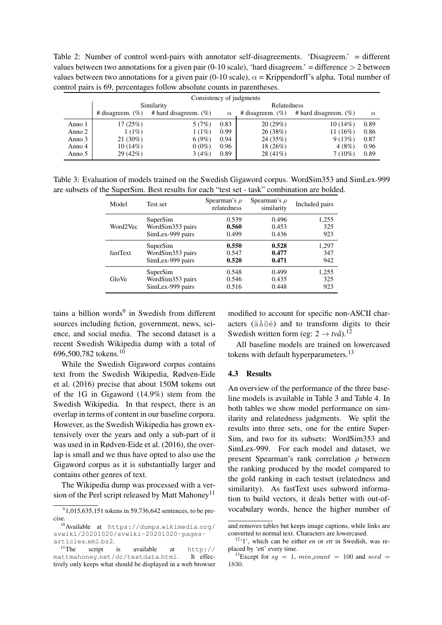<span id="page-4-0"></span>Table 2: Number of control word-pairs with annotator self-disagreements. 'Disagreem.' = different values between two annotations for a given pair  $(0-10 \text{ scale})$ , 'hard disagreem.' = difference  $> 2$  between values between two annotations for a given pair (0-10 scale),  $\alpha$  = Krippendorff's alpha. Total number of control pairs is 69, percentages follow absolute counts in parentheses.

| Consistency of judgments |                     |                           |          |                     |                           |          |  |  |
|--------------------------|---------------------|---------------------------|----------|---------------------|---------------------------|----------|--|--|
|                          | Similarity          |                           |          | Relatedness         |                           |          |  |  |
|                          | # disagreem. $(\%)$ | # hard disagreem. $(\% )$ | $\alpha$ | # disagreem. $(\%)$ | # hard disagreem. $(\% )$ | $\alpha$ |  |  |
| Anno 1                   | 17(25%)             | 5(7%)                     | 0.83     | 20(29%)             | $10(14\%)$                | 0.89     |  |  |
| Anno 2                   | 1(1%)               | 1(1%)                     | 0.99     | 26(38%)             | 11 $(16%)$                | 0.86     |  |  |
| Anno 3                   | $21(30\%)$          | 6(9%)                     | 0.94     | 24 (35%)            | 9(13%)                    | 0.87     |  |  |
| Anno 4                   | 10(14%)             | $0(0\%)$                  | 0.96     | $18(26\%)$          | 4(8%)                     | 0.96     |  |  |
| Anno 5                   | 29 (42%)            | 3(4%)                     | 0.89     | $28(41\%)$          | $7(10\%)$                 | 0.89     |  |  |

<span id="page-4-6"></span>Table 3: Evaluation of models trained on the Swedish Gigaword corpus. WordSim353 and SimLex-999 are subsets of the SuperSim. Best results for each "test set - task" combination are bolded.

| Model    | Test set         | Spearman's $\rho$<br>relatedness | Spearman's $\rho$<br>similarity | Included pairs |
|----------|------------------|----------------------------------|---------------------------------|----------------|
| Word2Vec | SuperSim         | 0.539                            | 0.496                           | 1,255          |
|          | WordSim353 pairs | 0.560                            | 0.453                           | 325            |
|          | SimLex-999 pairs | 0.499                            | 0.436                           | 923            |
| fastText | SuperSim         | 0.550                            | 0.528                           | 1,297          |
|          | WordSim353 pairs | 0.547                            | 0.477                           | 347            |
|          | SimLex-999 pairs | 0.520                            | 0.471                           | 942            |
| GloVe    | SuperSim         | 0.548                            | 0.499                           | 1,255          |
|          | WordSim353 pairs | 0.546                            | 0.435                           | 325            |
|          | SimLex-999 pairs | 0.516                            | 0.448                           | 923            |

tains a billion words<sup>[9](#page-4-1)</sup> in Swedish from different sources including fiction, government, news, science, and social media. The second dataset is a recent Swedish Wikipedia dump with a total of 696,500,782 tokens.[10](#page-4-2)

While the Swedish Gigaword corpus contains text from the Swedish Wikipedia, [Rødven-Eide](#page-7-9) [et al.](#page-7-9) [\(2016\)](#page-7-9) precise that about 150M tokens out of the 1G in Gigaword (14.9%) stem from the Swedish Wikipedia. In that respect, there is an overlap in terms of content in our baseline corpora. However, as the Swedish Wikipedia has grown extensively over the years and only a sub-part of it was used in in [Rødven-Eide et al.](#page-7-9) [\(2016\)](#page-7-9), the overlap is small and we thus have opted to also use the Gigaword corpus as it is substantially larger and contains other genres of text.

The Wikipedia dump was processed with a ver-sion of the Perl script released by Matt Mahoney<sup>[11](#page-4-3)</sup>

modified to account for specific non-ASCII characters (äåöé) and to transform digits to their Swedish written form (eg:  $2 \rightarrow tv\aa$ ).<sup>[12](#page-4-4)</sup>

All baseline models are trained on lowercased tokens with default hyperparameters.<sup>[13](#page-4-5)</sup>

### 4.3 Results

An overview of the performance of the three baseline models is available in Table [3](#page-4-6) and Table [4.](#page-5-0) In both tables we show model performance on similarity and relatedness judgments. We split the results into three sets, one for the entire Super-Sim, and two for its subsets: WordSim353 and SimLex-999. For each model and dataset, we present Spearman's rank correlation  $\rho$  between the ranking produced by the model compared to the gold ranking in each testset (relatedness and similarity). As fastText uses subword information to build vectors, it deals better with out-ofvocabulary words, hence the higher number of

<span id="page-4-1"></span> $91,015,635,151$  tokens in 59,736,642 sentences, to be precise.

<span id="page-4-2"></span><sup>10</sup>Available at [https://dumps](https://dumps.wikimedia.org/svwiki/20201020/svwiki-20201020-pages-articles.xml.bz2).wikimedia.org/ [svwiki/20201020/svwiki-20201020-pages](https://dumps.wikimedia.org/svwiki/20201020/svwiki-20201020-pages-articles.xml.bz2)[articles](https://dumps.wikimedia.org/svwiki/20201020/svwiki-20201020-pages-articles.xml.bz2).xml.bz2.

<span id="page-4-3"></span><sup>&</sup>lt;sup>11</sup>The script is available at [http://]( http://mattmahoney.net/dc/textdata.html)<br>attmahoney.net/dc/textdata.html. It effecmattmahoney.[net/dc/textdata]( http://mattmahoney.net/dc/textdata.html).html. tively only keeps what should be displayed in a web browser

and removes tables but keeps image captions, while links are converted to normal text. Characters are lowercased.

<span id="page-4-4"></span><sup>12</sup>'1', which can be either *en* or *ett* in Swedish, was replaced by 'ett' every time.

<span id="page-4-5"></span><sup>&</sup>lt;sup>13</sup>Except for  $sq = 1$ ,  $min\_count = 100$  and seed = 1830.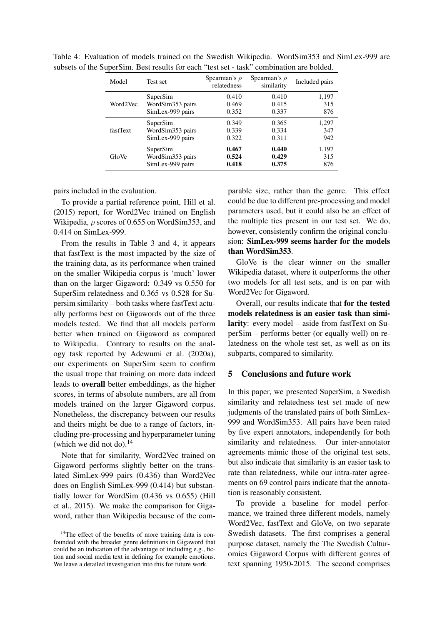<span id="page-5-0"></span>

| Model    | Test set         | Spearman's $\rho$<br>relatedness | Spearman's $\rho$<br>similarity | Included pairs |
|----------|------------------|----------------------------------|---------------------------------|----------------|
| Word2Vec | SuperSim         | 0.410                            | 0.410                           | 1,197          |
|          | WordSim353 pairs | 0.469                            | 0.415                           | 315            |
|          | SimLex-999 pairs | 0.352                            | 0.337                           | 876            |
| fastText | SuperSim         | 0.349                            | 0.365                           | 1,297          |
|          | WordSim353 pairs | 0.339                            | 0.334                           | 347            |
|          | SimLex-999 pairs | 0.322                            | 0.311                           | 942            |
| GloVe    | SuperSim         | 0.467                            | 0.440                           | 1,197          |
|          | WordSim353 pairs | 0.524                            | 0.429                           | 315            |
|          | SimLex-999 pairs | 0.418                            | 0.375                           | 876            |

Table 4: Evaluation of models trained on the Swedish Wikipedia. WordSim353 and SimLex-999 are subsets of the SuperSim. Best results for each "test set - task" combination are bolded.

pairs included in the evaluation.

To provide a partial reference point, [Hill et al.](#page-7-0) [\(2015\)](#page-7-0) report, for Word2Vec trained on English Wikipedia,  $\rho$  scores of 0.655 on WordSim353, and 0.414 on SimLex-999.

From the results in Table [3](#page-4-6) and [4,](#page-5-0) it appears that fastText is the most impacted by the size of the training data, as its performance when trained on the smaller Wikipedia corpus is 'much' lower than on the larger Gigaword: 0.349 vs 0.550 for SuperSim relatedness and 0.365 vs 0.528 for Supersim similarity – both tasks where fastText actually performs best on Gigawords out of the three models tested. We find that all models perform better when trained on Gigaword as compared to Wikipedia. Contrary to results on the analogy task reported by [Adewumi et al.](#page-6-8) [\(2020a\)](#page-6-8), our experiments on SuperSim seem to confirm the usual trope that training on more data indeed leads to overall better embeddings, as the higher scores, in terms of absolute numbers, are all from models trained on the larger Gigaword corpus. Nonetheless, the discrepancy between our results and theirs might be due to a range of factors, including pre-processing and hyperparameter tuning (which we did not do). $^{14}$  $^{14}$  $^{14}$ 

Note that for similarity, Word2Vec trained on Gigaword performs slightly better on the translated SimLex-999 pairs (0.436) than Word2Vec does on English SimLex-999 (0.414) but substantially lower for WordSim (0.436 vs 0.655) [\(Hill](#page-7-0) [et al., 2015\)](#page-7-0). We make the comparison for Gigaword, rather than Wikipedia because of the com-

parable size, rather than the genre. This effect could be due to different pre-processing and model parameters used, but it could also be an effect of the multiple ties present in our test set. We do, however, consistently confirm the original conclusion: SimLex-999 seems harder for the models than WordSim353.

GloVe is the clear winner on the smaller Wikipedia dataset, where it outperforms the other two models for all test sets, and is on par with Word2Vec for Gigaword.

Overall, our results indicate that for the tested models relatedness is an easier task than similarity: every model – aside from fastText on SuperSim – performs better (or equally well) on relatedness on the whole test set, as well as on its subparts, compared to similarity.

### 5 Conclusions and future work

In this paper, we presented SuperSim, a Swedish similarity and relatedness test set made of new judgments of the translated pairs of both SimLex-999 and WordSim353. All pairs have been rated by five expert annotators, independently for both similarity and relatedness. Our inter-annotator agreements mimic those of the original test sets, but also indicate that similarity is an easier task to rate than relatedness, while our intra-rater agreements on 69 control pairs indicate that the annotation is reasonably consistent.

To provide a baseline for model performance, we trained three different models, namely Word2Vec, fastText and GloVe, on two separate Swedish datasets. The first comprises a general purpose dataset, namely the The Swedish Culturomics Gigaword Corpus with different genres of text spanning 1950-2015. The second comprises

<span id="page-5-1"></span><sup>&</sup>lt;sup>14</sup>The effect of the benefits of more training data is confounded with the broader genre definitions in Gigaword that could be an indication of the advantage of including e.g., fiction and social media text in defining for example emotions. We leave a detailed investigation into this for future work.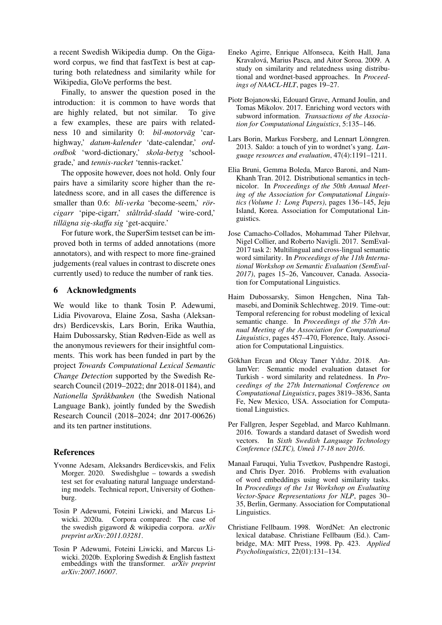a recent Swedish Wikipedia dump. On the Gigaword corpus, we find that fastText is best at capturing both relatedness and similarity while for Wikipedia, GloVe performs the best.

Finally, to answer the question posed in the introduction: it is common to have words that are highly related, but not similar. To give a few examples, these are pairs with relatedness 10 and similarity 0: *bil-motorväg* 'carhighway,' *datum-kalender* 'date-calendar,' *ordordbok* 'word-dictionary,' *skola-betyg* 'schoolgrade,' and *tennis-racket* 'tennis-racket.'

The opposite however, does not hold. Only four pairs have a similarity score higher than the relatedness score, and in all cases the difference is smaller than 0.6: *bli-verka* 'become-seem,' *rörcigarr* 'pipe-cigarr,' *staltr ˚ ad-sladd ˚* 'wire-cord,' *tillagna sig-skaffa sig ¨* 'get-acquire.'

For future work, the SuperSim testset can be improved both in terms of added annotations (more annotators), and with respect to more fine-grained judgements (real values in contrast to discrete ones currently used) to reduce the number of rank ties.

# 6 Acknowledgments

We would like to thank Tosin P. Adewumi, Lidia Pivovarova, Elaine Zosa, Sasha (Aleksandrs) Berdicevskis, Lars Borin, Erika Wauthia, Haim Dubossarsky, Stian Rødven-Eide as well as the anonymous reviewers for their insightful comments. This work has been funded in part by the project *Towards Computational Lexical Semantic Change Detection* supported by the Swedish Research Council (2019–2022; dnr 2018-01184), and *Nationella Sprakbanken ˚* (the Swedish National Language Bank), jointly funded by the Swedish Research Council (2018–2024; dnr 2017-00626) and its ten partner institutions.

### References

- <span id="page-6-9"></span>Yvonne Adesam, Aleksandrs Berdicevskis, and Felix Morger. 2020. Swedishglue – towards a swedish test set for evaluating natural language understanding models. Technical report, University of Gothenburg.
- <span id="page-6-8"></span>Tosin P Adewumi, Foteini Liwicki, and Marcus Liwicki. 2020a. Corpora compared: The case of the swedish gigaword & wikipedia corpora. *arXiv preprint arXiv:2011.03281*.
- <span id="page-6-7"></span>Tosin P Adewumi, Foteini Liwicki, and Marcus Liwicki. 2020b. Exploring Swedish & English fasttext embeddings with the transformer. *arXiv preprint arXiv:2007.16007*.
- <span id="page-6-1"></span>Eneko Agirre, Enrique Alfonseca, Keith Hall, Jana Kravalova, Marius Pasca, and Aitor Soroa. 2009. A ´ study on similarity and relatedness using distributional and wordnet-based approaches. In *Proceedings of NAACL-HLT*, pages 19–27.
- <span id="page-6-12"></span>Piotr Bojanowski, Edouard Grave, Armand Joulin, and Tomas Mikolov. 2017. Enriching word vectors with subword information. *Transactions of the Association for Computational Linguistics*, 5:135–146.
- <span id="page-6-5"></span>Lars Borin, Markus Forsberg, and Lennart Lönngren. 2013. Saldo: a touch of yin to wordnet's yang. *Language resources and evaluation*, 47(4):1191–1211.
- <span id="page-6-2"></span>Elia Bruni, Gemma Boleda, Marco Baroni, and Nam-Khanh Tran. 2012. [Distributional semantics in tech](https://www.aclweb.org/anthology/P12-1015)[nicolor.](https://www.aclweb.org/anthology/P12-1015) In *Proceedings of the 50th Annual Meeting of the Association for Computational Linguistics (Volume 1: Long Papers)*, pages 136–145, Jeju Island, Korea. Association for Computational Linguistics.
- <span id="page-6-3"></span>Jose Camacho-Collados, Mohammad Taher Pilehvar, Nigel Collier, and Roberto Navigli. 2017. [SemEval-](https://doi.org/10.18653/v1/S17-2002)[2017 task 2: Multilingual and cross-lingual semantic](https://doi.org/10.18653/v1/S17-2002) [word similarity.](https://doi.org/10.18653/v1/S17-2002) In *Proceedings of the 11th International Workshop on Semantic Evaluation (SemEval-2017)*, pages 15–26, Vancouver, Canada. Association for Computational Linguistics.
- <span id="page-6-11"></span>Haim Dubossarsky, Simon Hengchen, Nina Tahmasebi, and Dominik Schlechtweg. 2019. [Time-out:](https://doi.org/10.18653/v1/P19-1044) [Temporal referencing for robust modeling of lexical](https://doi.org/10.18653/v1/P19-1044) [semantic change.](https://doi.org/10.18653/v1/P19-1044) In *Proceedings of the 57th Annual Meeting of the Association for Computational Linguistics*, pages 457–470, Florence, Italy. Association for Computational Linguistics.
- <span id="page-6-4"></span>Gökhan Ercan and Olcay Taner Yıldız. 2018. [An](https://www.aclweb.org/anthology/C18-1323) [lamVer: Semantic model evaluation dataset for](https://www.aclweb.org/anthology/C18-1323) [Turkish - word similarity and relatedness.](https://www.aclweb.org/anthology/C18-1323) In *Proceedings of the 27th International Conference on Computational Linguistics*, pages 3819–3836, Santa Fe, New Mexico, USA. Association for Computational Linguistics.
- <span id="page-6-0"></span>Per Fallgren, Jesper Segeblad, and Marco Kuhlmann. 2016. Towards a standard dataset of Swedish word vectors. In *Sixth Swedish Language Technology Conference (SLTC), Umea 17-18 nov 2016 ˚* .
- <span id="page-6-10"></span>Manaal Faruqui, Yulia Tsvetkov, Pushpendre Rastogi, and Chris Dyer. 2016. [Problems with evaluation](https://doi.org/10.18653/v1/W16-2506) [of word embeddings using word similarity tasks.](https://doi.org/10.18653/v1/W16-2506) In *Proceedings of the 1st Workshop on Evaluating Vector-Space Representations for NLP*, pages 30– 35, Berlin, Germany. Association for Computational Linguistics.
- <span id="page-6-6"></span>Christiane Fellbaum. 1998. [WordNet: An electronic](http://journals.cambridge.org/action/displayAbstract?fromPage=online&aid=73979) [lexical database. Christiane Fellbaum \(Ed.\). Cam](http://journals.cambridge.org/action/displayAbstract?fromPage=online&aid=73979)[bridge, MA: MIT Press, 1998. Pp. 423.](http://journals.cambridge.org/action/displayAbstract?fromPage=online&aid=73979) *Applied Psycholinguistics*, 22(01):131–134.